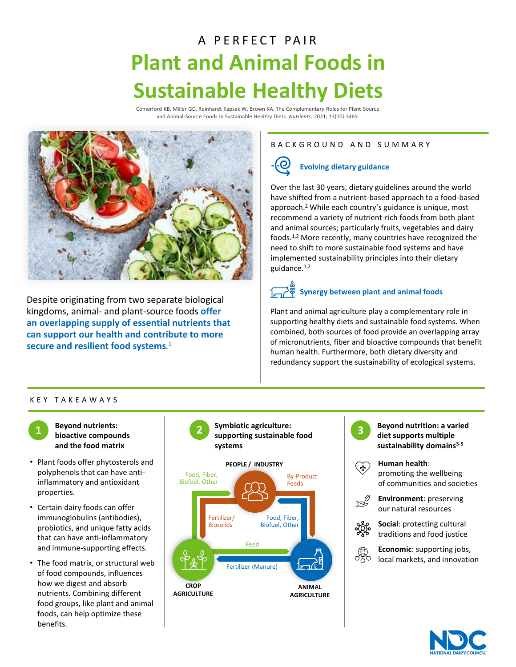## A PERFECT PAIR **Plant and Animal Foods in Sustainable Healthy Diets**

Comerford KB, Miller GD, Reinhardt Kapsak W, Brown KA. The Complementary Roles for Plant-Source and Animal-Source Foods in Sustainable Healthy Diets. *Nutrients*. 2021; 13(10):3469.



Despite originating from two separate biological kingdoms, animal- and plant-source foods **offer an overlapping supply of essential nutrients that can support our health and contribute to more secure and resilient food systems**. 1

#### B A C K G R O U N D A N D S U M M A R Y

## **Evolving dietary guidance**

Over the last 30 years, dietary guidelines around the world have shifted from a nutrient-based approach to a food-based approach.<sup>2</sup> While each country's guidance is unique, most recommend a variety of nutrient-rich foods from both plant and animal sources; particularly fruits, vegetables and dairy foods.1,2 More recently, many countries have recognized the need to shift to more sustainable food systems and have implemented sustainability principles into their dietary guidance.1,2

## **Synergy between plant and animal foods**

Plant and animal agriculture play a complementary role in supporting healthy diets and sustainable food systems. When combined, both sources of food provide an overlapping array of micronutrients, fiber and bioactive compounds that benefit human health. Furthermore, both dietary diversity and redundancy support the sustainability of ecological systems.

#### K E Y T A K E A W A Y S



**Beyond nutrients: bioactive compounds and the food matrix** 

- Plant foods offer phytosterols and polyphenols that can have antiinflammatory and antioxidant properties.
- Certain dairy foods can offer immunoglobulins (antibodies), probiotics, and unique fatty acids that can have anti-inflammatory and immune-supporting effects.
- The food matrix, or structural web of food compounds, influences how we digest and absorb nutrients. Combining different food groups, like plant and animal foods, can help optimize these benefits.



**Beyond nutrition: a varied diet supports multiple sustainability domains3-5 Human health**: promoting the wellbeing of communities and societies **Environment**: preserving our natural resources **Social**: protecting cultural traditions and food justice **Economic**: supporting jobs, local markets, and innovation